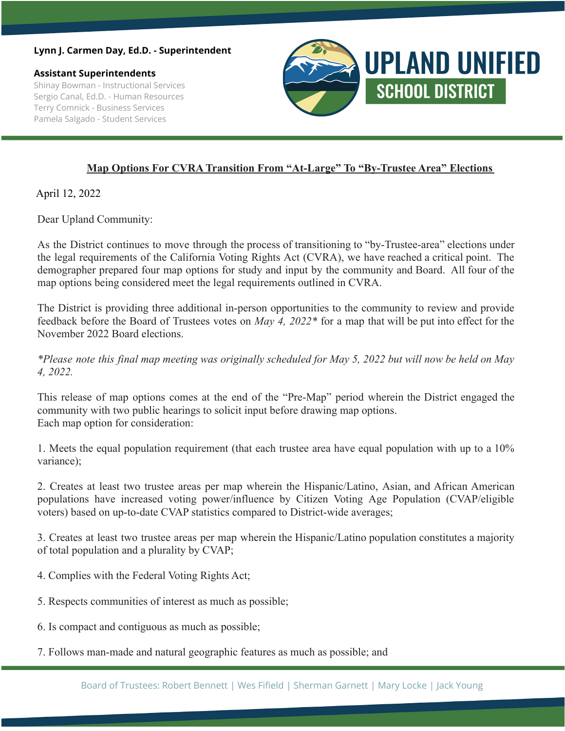## **Lynn J. Carmen Day, Ed.D. - Superintendent**

**Assistant Superintendents** Shinay Bowman - Instructional Services Sergio Canal, Ed.D. - Human Resources Terry Comnick - Business Services Pamela Salgado - Student Services



## **Map Options For CVRA Transition From "At-Large" To "By-Trustee Area" Elections**

April 12, 2022

Dear Upland Community:

As the District continues to move through the process of transitioning to "by-Trustee-area" elections under the legal requirements of the California Voting Rights Act (CVRA), we have reached a critical point. The demographer prepared four map options for study and input by the community and Board. All four of the map options being considered meet the legal requirements outlined in CVRA.

The District is providing three additional in-person opportunities to the community to review and provide feedback before the Board of Trustees votes on *May 4, 2022\** for a map that will be put into effect for the November 2022 Board elections.

\*Please note this final map meeting was originally scheduled for May 5, 2022 but will now be held on May *4, 2022.*

This release of map options comes at the end of the "Pre-Map" period wherein the District engaged the community with two public hearings to solicit input before drawing map options. Each map option for consideration:

1. Meets the equal population requirement (that each trustee area have equal population with up to a 10% variance);

2. Creates at least two trustee areas per map wherein the Hispanic/Latino, Asian, and African American populations have increased voting power/influence by Citizen Voting Age Population (CVAP/eligible voters) based on up-to-date CVAP statistics compared to District-wide averages;

3. Creates at least two trustee areas per map wherein the Hispanic/Latino population constitutes a majority of total population and a plurality by CVAP;

- 4. Complies with the Federal Voting Rights Act;
- 5. Respects communities of interest as much as possible;
- 6. Is compact and contiguous as much as possible;
- 7. Follows man-made and natural geographic features as much as possible; and